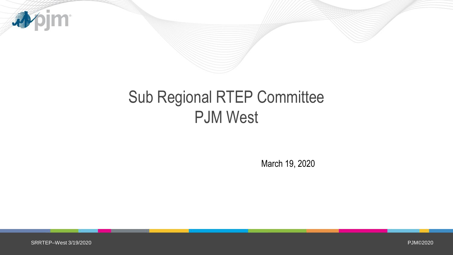

## Sub Regional RTEP Committee PJM West

March 19, 2020

PJM©2020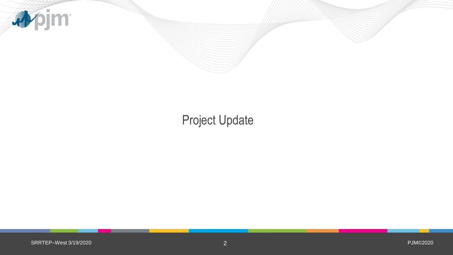

### Project Update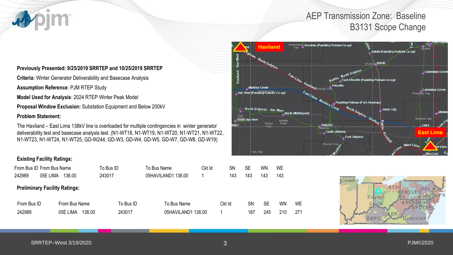### AEP Transmission Zone: Baseline B3131 Scope Change

#### **Previously Presented: 9/25/2019 SRRTEP and 10/25/2019 SRRTEP**

**Criteria:** Winter Generator Deliverability and Basecase Analysis

**Assumption Reference**: PJM RTEP Study

**Model Used for Analysis**: 2024 RTEP Winter Peak Model

**Proposal Window Exclusion:** Substation Equipment and Below 200kV

#### **Problem Statement:**

The Haviland – East Lima 138kV line is overloaded for multiple contingencies in winter generator deliverability test and basecase analysis test. (N1-WT18, N1-WT19, N1-WT20, N1-WT21, N1-WT22, N1-WT23, N1-WT24, N1-WT25, GD-W244, GD-W3, GD-W4, GD-W5, GD-W7, GD-W8, GD-W19)

#### **Existing Facility Ratings:**

| From Bus ID From Bus Name            |          |                    | To Bus ID | To Bus Name        | Ckt Id | <b>SN</b> | <b>SE</b> | WN  | <b>WE</b> |           |
|--------------------------------------|----------|--------------------|-----------|--------------------|--------|-----------|-----------|-----|-----------|-----------|
| 242989                               | 05E LIMA | 138.00             | 243017    | 05HAVILAND1 138.00 |        | 143       | 143       | 143 | 143       |           |
| <b>Preliminary Facility Ratings:</b> |          |                    |           |                    |        |           |           |     |           |           |
| From Bus ID                          |          | From Bus Name      | To Bus ID | To Bus Name        |        | Ckt Id    | SΝ        | SE  | <b>WN</b> | <b>WE</b> |
| 242989                               |          | 138.00<br>05E LIMA | 243017    | 05HAVILAND1 138.00 |        |           | 167       | 245 | 210       | 271       |



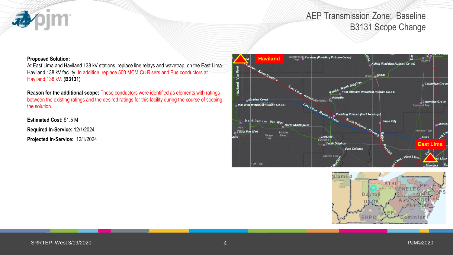### AEP Transmission Zone: Baseline B3131 Scope Change

#### **Proposed Solution:**

**im** 

At East Lima and Haviland 138 kV stations, replace line relays and wavetrap, on the East Lima-Haviland 138 kV facility. In addition, replace 500 MCM Cu Risers and Bus conductors at Haviland 138 kV. (**B3131**)

**Reason for the additional scope:** These conductors were identified as elements with ratings between the existing ratings and the desired ratings for this facility during the course of scoping the solution.

**Estimated Cost:** \$1.5 M

**Required In-Service:** 12/1/2024

**Projected In-Service:** 12/1/2024



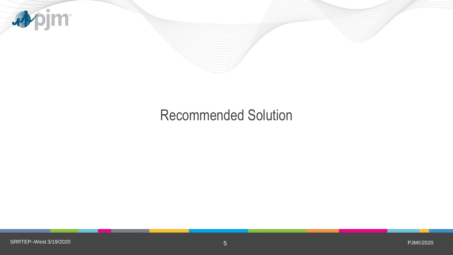

### Recommended Solution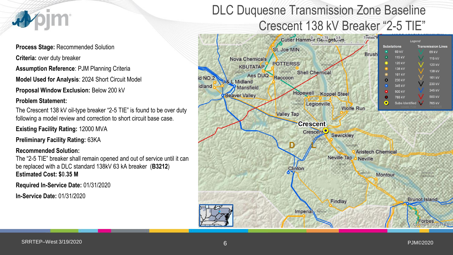

**Process Stage:** Recommended Solution **Criteria:** over duty breaker **Assumption Reference**: PJM Planning Criteria **Model Used for Analysis**: 2024 Short Circuit Model

**Proposal Window Exclusion:** Below 200 kV

#### **Problem Statement:**

The Crescent 138 kV oil-type breaker "2-5 TIE" is found to be over duty following a model review and correction to short circuit base case.

**Existing Facility Rating:** 12000 MVA

**Preliminary Facility Rating:** 63KA

#### **Recommended Solution:**

The "2-5 TIE" breaker shall remain opened and out of service until it can be replaced with a DLC standard 138kV 63 kA breaker (**B3212**) **Estimated Cost: \$0.35 M**

**Required In-Service Date:** 01/31/2020

**In-Service Date:** 01/31/2020

## DLC Duquesne Transmission Zone Baseline Crescent 138 kV Breaker "2-5 TIE"

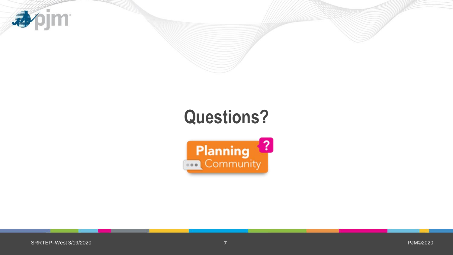

# **Questions?**